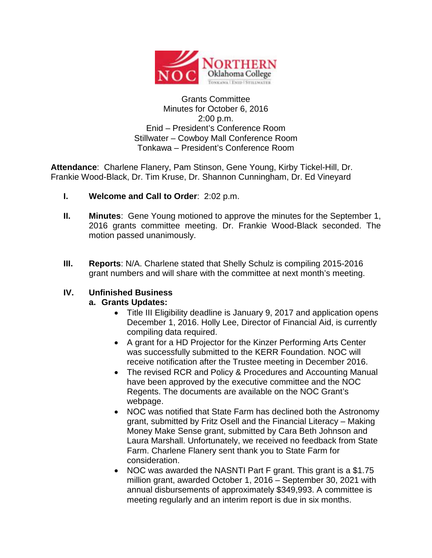

## Grants Committee Minutes for October 6, 2016 2:00 p.m. Enid – President's Conference Room Stillwater – Cowboy Mall Conference Room Tonkawa – President's Conference Room

**Attendance**: Charlene Flanery, Pam Stinson, Gene Young, Kirby Tickel-Hill, Dr. Frankie Wood-Black, Dr. Tim Kruse, Dr. Shannon Cunningham, Dr. Ed Vineyard

- **I. Welcome and Call to Order**: 2:02 p.m.
- **II. Minutes**: Gene Young motioned to approve the minutes for the September 1, 2016 grants committee meeting. Dr. Frankie Wood-Black seconded. The motion passed unanimously.
- **III. Reports**: N/A. Charlene stated that Shelly Schulz is compiling 2015-2016 grant numbers and will share with the committee at next month's meeting.

## **IV. Unfinished Business**

## **a. Grants Updates:**

- Title III Eligibility deadline is January 9, 2017 and application opens December 1, 2016. Holly Lee, Director of Financial Aid, is currently compiling data required.
- A grant for a HD Projector for the Kinzer Performing Arts Center was successfully submitted to the KERR Foundation. NOC will receive notification after the Trustee meeting in December 2016.
- The revised RCR and Policy & Procedures and Accounting Manual have been approved by the executive committee and the NOC Regents. The documents are available on the NOC Grant's webpage.
- NOC was notified that State Farm has declined both the Astronomy grant, submitted by Fritz Osell and the Financial Literacy – Making Money Make Sense grant, submitted by Cara Beth Johnson and Laura Marshall. Unfortunately, we received no feedback from State Farm. Charlene Flanery sent thank you to State Farm for consideration.
- NOC was awarded the NASNTI Part F grant. This grant is a \$1.75 million grant, awarded October 1, 2016 – September 30, 2021 with annual disbursements of approximately \$349,993. A committee is meeting regularly and an interim report is due in six months.